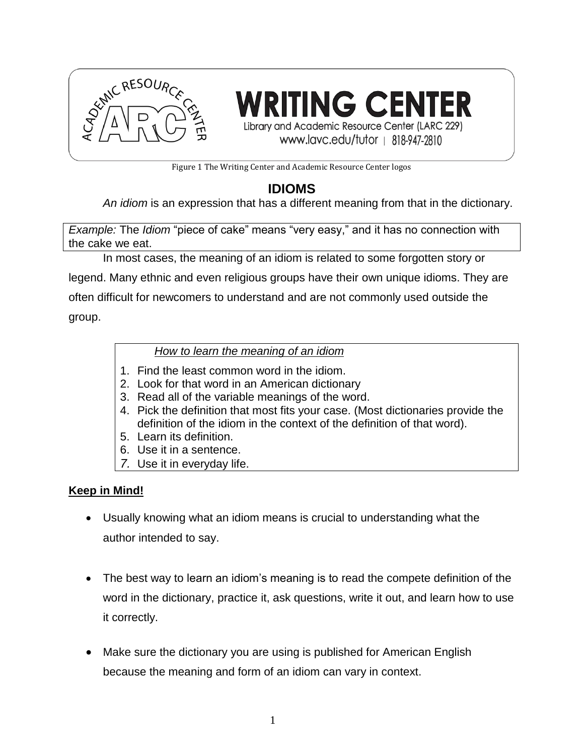

**RITING CENTER** Library and Academic Resource Center (LARC 229) www.lavc.edu/tutor | 818-947-2810

Figure 1 The Writing Center and Academic Resource Center logos

# **IDIOMS**

*An [idiom](javascript:OpenGlossary()* is an expression that has a different meaning from that in the dictionary.

*Example:* The *Idiom* "piece of cake" means "very easy," and it has no connection with the cake we eat.

In most cases, the meaning of an idiom is related to some forgotten story or legend. Many ethnic and even religious groups have their own unique idioms. They are

often difficult for newcomers to understand and are not commonly used outside the group.

*How to learn the meaning of an idiom*

- 1. Find the least common word in the idiom.
- 2. Look for that word in an American dictionary
- 3. Read all of the variable meanings of the word.
- 4. Pick the definition that most fits your case. (Most dictionaries provide the definition of the idiom in the context of the definition of that word).
- 5. Learn its definition.
- 6. Use it in a sentence.
- *7.* Use it in everyday life.

### **Keep in Mind!**

- Usually knowing what an idiom means is crucial to understanding what the author intended to say.
- The best way to learn an idiom's meaning is to read the compete definition of the word in the dictionary, practice it, ask questions, write it out, and learn how to use it correctly.
- Make sure the dictionary you are using is published for American English because the meaning and form of an idiom can vary in context.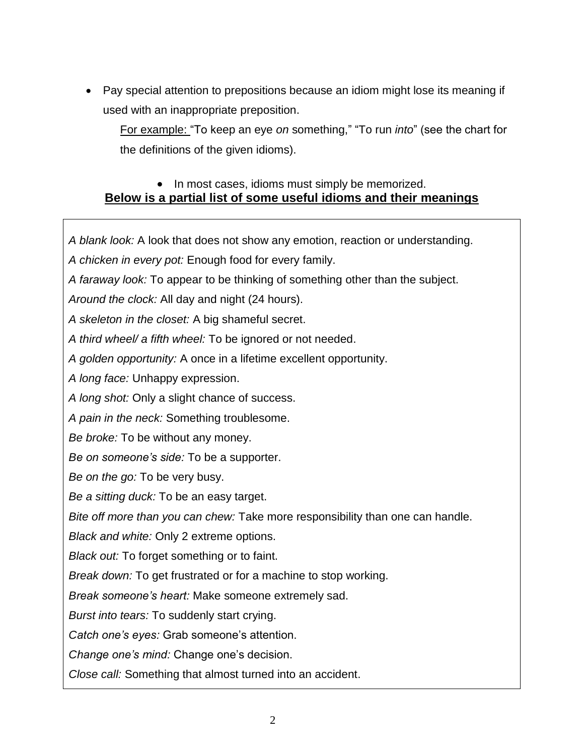Pay special attention to prepositions because an idiom might lose its meaning if used with an inappropriate preposition.

For example: "To keep an eye *on* something," "To run *into*" (see the chart for the definitions of the given idioms).

## • In most cases, idioms must simply be memorized. **Below is a partial list of some useful idioms and their meanings**

*A blank look:* A look that does not show any emotion, reaction or understanding.

- *A chicken in every pot:* Enough food for every family.
- *A faraway look:* To appear to be thinking of something other than the subject.
- *Around the clock:* All day and night (24 hours).

*A skeleton in the closet:* A big shameful secret.

*A third wheel/ a fifth wheel:* To be ignored or not needed.

*A golden opportunity:* A once in a lifetime excellent opportunity.

*A long face:* Unhappy expression.

*A long shot:* Only a slight chance of success.

*A pain in the neck:* Something troublesome.

*Be broke:* To be without any money.

*Be on someone's side:* To be a supporter.

*Be on the go:* To be very busy.

*Be a sitting duck:* To be an easy target.

*Bite off more than you can chew:* Take more responsibility than one can handle.

*Black and white:* Only 2 extreme options.

*Black out:* To forget something or to faint.

*Break down:* To get frustrated or for a machine to stop working.

*Break someone's heart:* Make someone extremely sad.

*Burst into tears:* To suddenly start crying.

*Catch one's eyes:* Grab someone's attention.

*Change one's mind:* Change one's decision.

*Close call:* Something that almost turned into an accident.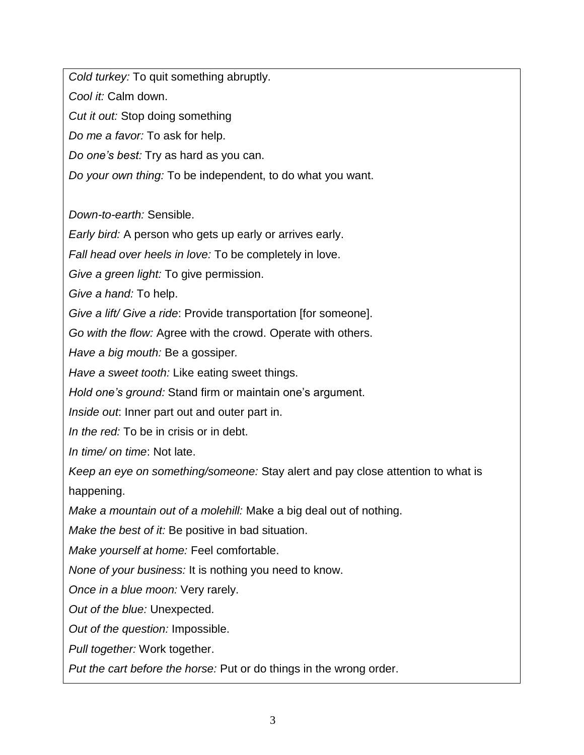*Cold turkey:* To quit something abruptly.

*Cool it:* Calm down.

*Cut it out:* Stop doing something

*Do me a favor:* To ask for help.

*Do one's best:* Try as hard as you can.

*Do your own thing:* To be independent, to do what you want.

*Down-to-earth:* Sensible.

*Early bird:* A person who gets up early or arrives early.

*Fall head over heels in love:* To be completely in love.

*Give a green light:* To give permission.

*Give a hand:* To help.

*Give a lift/ Give a ride*: Provide transportation [for someone].

*Go with the flow:* Agree with the crowd. Operate with others.

*Have a big mouth:* Be a gossiper*.*

*Have a sweet tooth:* Like eating sweet things.

*Hold one's ground:* Stand firm or maintain one's argument.

*Inside out*: Inner part out and outer part in.

*In the red:* To be in crisis or in debt.

*In time/ on time*: Not late.

*Keep an eye on something/someone:* Stay alert and pay close attention to what is happening.

*Make a mountain out of a molehill:* Make a big deal out of nothing.

*Make the best of it:* Be positive in bad situation.

*Make yourself at home:* Feel comfortable.

*None of your business:* It is nothing you need to know.

*Once in a blue moon:* Very rarely.

*Out of the blue:* Unexpected.

*Out of the question:* Impossible.

*Pull together:* Work together.

*Put the cart before the horse:* Put or do things in the wrong order.